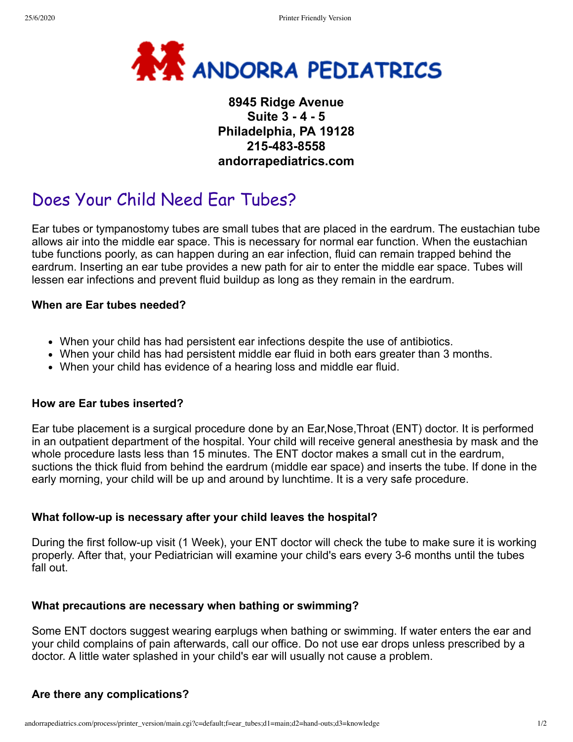

# **8945 Ridge Avenue Suite 3 - 4 - 5 Philadelphia, PA 19128 215-483-8558 andorrapediatrics.com**

# Does Your Child Need Ear Tubes?

Ear tubes or tympanostomy tubes are small tubes that are placed in the eardrum. The eustachian tube allows air into the middle ear space. This is necessary for normal ear function. When the eustachian tube functions poorly, as can happen during an ear infection, fluid can remain trapped behind the eardrum. Inserting an ear tube provides a new path for air to enter the middle ear space. Tubes will lessen ear infections and prevent fluid buildup as long as they remain in the eardrum.

#### **When are Ear tubes needed?**

- When your child has had persistent ear infections despite the use of antibiotics.
- When your child has had persistent middle ear fluid in both ears greater than 3 months.
- When your child has evidence of a hearing loss and middle ear fluid.

### **How are Ear tubes inserted?**

Ear tube placement is a surgical procedure done by an Ear,Nose,Throat (ENT) doctor. It is performed in an outpatient department of the hospital. Your child will receive general anesthesia by mask and the whole procedure lasts less than 15 minutes. The ENT doctor makes a small cut in the eardrum, suctions the thick fluid from behind the eardrum (middle ear space) and inserts the tube. If done in the early morning, your child will be up and around by lunchtime. It is a very safe procedure.

### **What follow-up is necessary after your child leaves the hospital?**

During the first follow-up visit (1 Week), your ENT doctor will check the tube to make sure it is working properly. After that, your Pediatrician will examine your child's ears every 3-6 months until the tubes fall out.

### **What precautions are necessary when bathing or swimming?**

Some ENT doctors suggest wearing earplugs when bathing or swimming. If water enters the ear and your child complains of pain afterwards, call our office. Do not use ear drops unless prescribed by a doctor. A little water splashed in your child's ear will usually not cause a problem.

## **Are there any complications?**